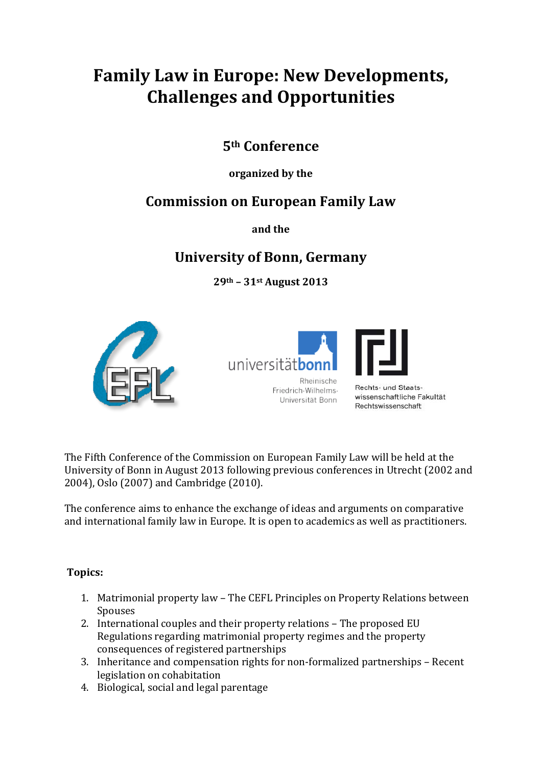# **Family Law in Europe: New Developments, Challenges and Opportunities**

### **5th Conference**

#### **organized by the**

## **Commission on European Family Law**

**and the**

## **University of Bonn, Germany**

**29th – 31st August 2013**





The Fifth Conference of the Commission on European Family Law will be held at the University of Bonn in August 2013 following previous conferences in Utrecht (2002 and 2004), Oslo (2007) and Cambridge (2010).

The conference aims to enhance the exchange of ideas and arguments on comparative and international family law in Europe. It is open to academics as well as practitioners.

#### **Topics:**

- 1. Matrimonial property law The CEFL Principles on Property Relations between Spouses
- 2. International couples and their property relations The proposed EU Regulations regarding matrimonial property regimes and the property consequences of registered partnerships
- 3. Inheritance and compensation rights for non-formalized partnerships Recent legislation on cohabitation
- 4. Biological, social and legal parentage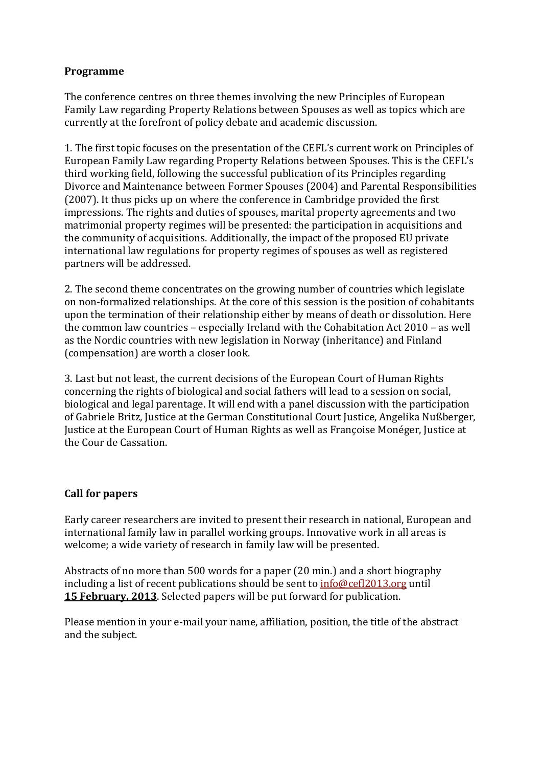#### **Programme**

The conference centres on three themes involving the new Principles of European Family Law regarding Property Relations between Spouses as well as topics which are currently at the forefront of policy debate and academic discussion.

1. The first topic focuses on the presentation of the CEFL's current work on Principles of European Family Law regarding Property Relations between Spouses. This is the CEFL's third working field, following the successful publication of its Principles regarding Divorce and Maintenance between Former Spouses (2004) and Parental Responsibilities (2007). It thus picks up on where the conference in Cambridge provided the first impressions. The rights and duties of spouses, marital property agreements and two matrimonial property regimes will be presented: the participation in acquisitions and the community of acquisitions. Additionally, the impact of the proposed EU private international law regulations for property regimes of spouses as well as registered partners will be addressed.

2. The second theme concentrates on the growing number of countries which legislate on non-formalized relationships. At the core of this session is the position of cohabitants upon the termination of their relationship either by means of death or dissolution. Here the common law countries – especially Ireland with the Cohabitation Act 2010 – as well as the Nordic countries with new legislation in Norway (inheritance) and Finland (compensation) are worth a closer look.

3. Last but not least, the current decisions of the European Court of Human Rights concerning the rights of biological and social fathers will lead to a session on social, biological and legal parentage. It will end with a panel discussion with the participation of Gabriele Britz, Justice at the German Constitutional Court Justice, Angelika Nußberger, Justice at the European Court of Human Rights as well as Françoise Monéger, Justice at the Cour de Cassation.

#### **Call for papers**

Early career researchers are invited to present their research in national, European and international family law in parallel working groups. Innovative work in all areas is welcome; a wide variety of research in family law will be presented.

Abstracts of no more than 500 words for a paper (20 min.) and a short biography including a list of recent publications should be sent to [info@cefl2013.org](mailto:info@cefl2013.org) until **15 February, 2013**. Selected papers will be put forward for publication.

Please mention in your e-mail your name, affiliation, position, the title of the abstract and the subject.